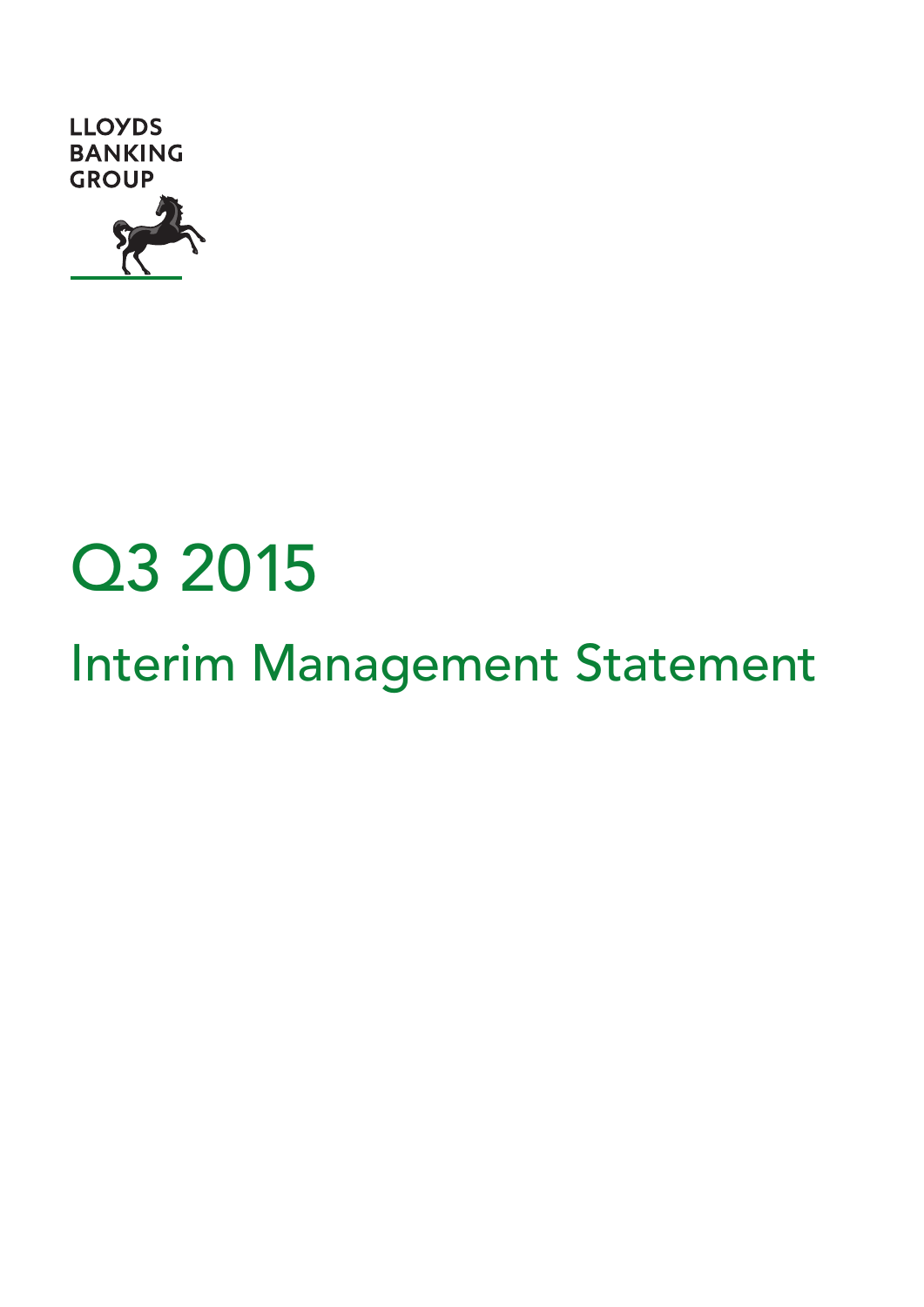



# Interim Management Statement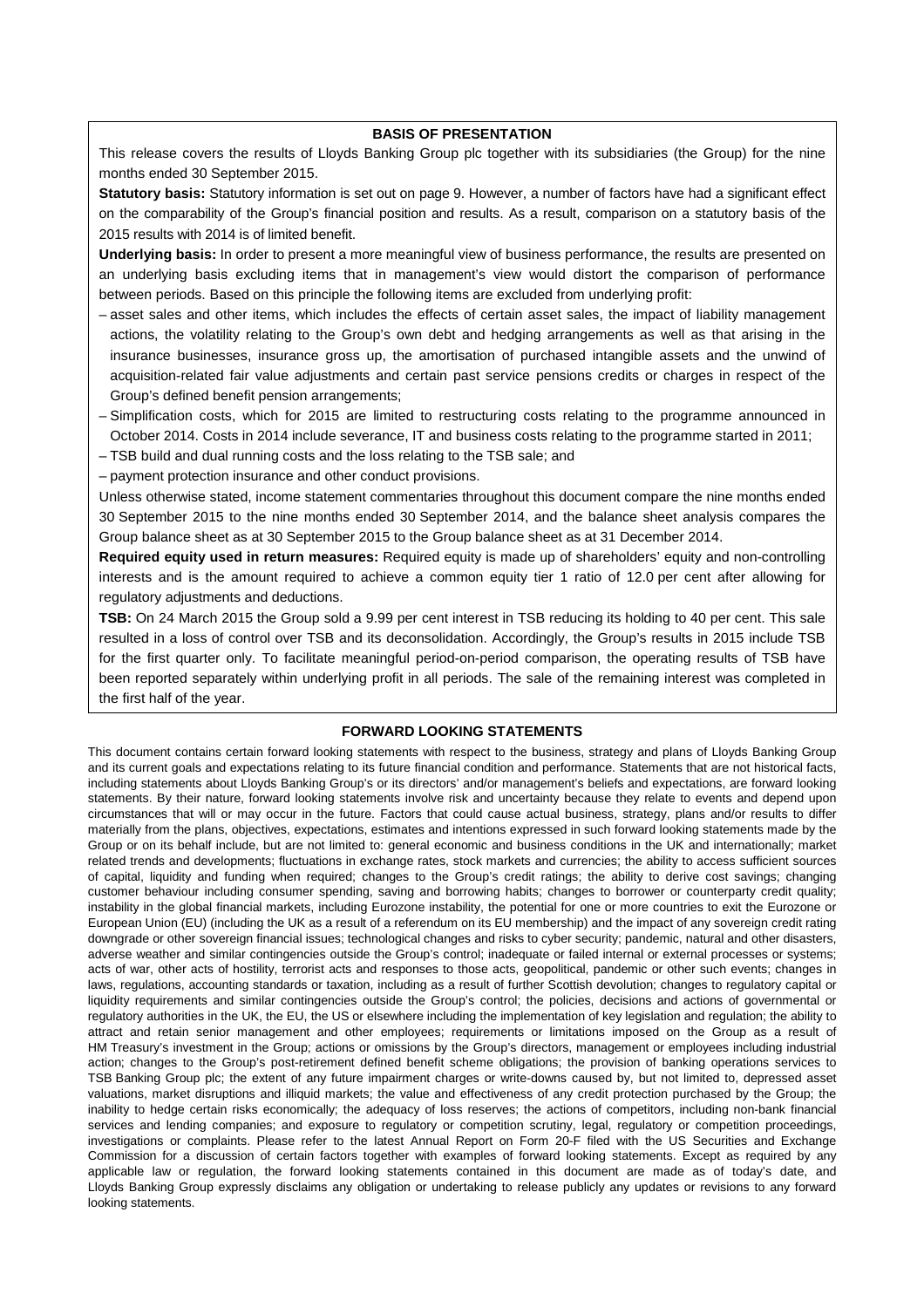#### **BASIS OF PRESENTATION**

This release covers the results of Lloyds Banking Group plc together with its subsidiaries (the Group) for the nine months ended 30 September 2015.

**Statutory basis:** Statutory information is set out on page 9. However, a number of factors have had a significant effect on the comparability of the Group's financial position and results. As a result, comparison on a statutory basis of the 2015 results with 2014 is of limited benefit.

**Underlying basis:** In order to present a more meaningful view of business performance, the results are presented on an underlying basis excluding items that in management's view would distort the comparison of performance between periods. Based on this principle the following items are excluded from underlying profit:

- asset sales and other items, which includes the effects of certain asset sales, the impact of liability management actions, the volatility relating to the Group's own debt and hedging arrangements as well as that arising in the insurance businesses, insurance gross up, the amortisation of purchased intangible assets and the unwind of acquisition-related fair value adjustments and certain past service pensions credits or charges in respect of the Group's defined benefit pension arrangements;
- Simplification costs, which for 2015 are limited to restructuring costs relating to the programme announced in October 2014. Costs in 2014 include severance, IT and business costs relating to the programme started in 2011;
- TSB build and dual running costs and the loss relating to the TSB sale; and
- payment protection insurance and other conduct provisions.

Unless otherwise stated, income statement commentaries throughout this document compare the nine months ended 30 September 2015 to the nine months ended 30 September 2014, and the balance sheet analysis compares the Group balance sheet as at 30 September 2015 to the Group balance sheet as at 31 December 2014.

**Required equity used in return measures:** Required equity is made up of shareholders' equity and non-controlling interests and is the amount required to achieve a common equity tier 1 ratio of 12.0 per cent after allowing for regulatory adjustments and deductions.

**TSB:** On 24 March 2015 the Group sold a 9.99 per cent interest in TSB reducing its holding to 40 per cent. This sale resulted in a loss of control over TSB and its deconsolidation. Accordingly, the Group's results in 2015 include TSB for the first quarter only. To facilitate meaningful period-on-period comparison, the operating results of TSB have been reported separately within underlying profit in all periods. The sale of the remaining interest was completed in the first half of the year.

#### **FORWARD LOOKING STATEMENTS**

This document contains certain forward looking statements with respect to the business, strategy and plans of Lloyds Banking Group and its current goals and expectations relating to its future financial condition and performance. Statements that are not historical facts, including statements about Lloyds Banking Group's or its directors' and/or management's beliefs and expectations, are forward looking statements. By their nature, forward looking statements involve risk and uncertainty because they relate to events and depend upon circumstances that will or may occur in the future. Factors that could cause actual business, strategy, plans and/or results to differ materially from the plans, objectives, expectations, estimates and intentions expressed in such forward looking statements made by the Group or on its behalf include, but are not limited to: general economic and business conditions in the UK and internationally; market related trends and developments; fluctuations in exchange rates, stock markets and currencies; the ability to access sufficient sources of capital, liquidity and funding when required; changes to the Group's credit ratings; the ability to derive cost savings; changing customer behaviour including consumer spending, saving and borrowing habits; changes to borrower or counterparty credit quality; instability in the global financial markets, including Eurozone instability, the potential for one or more countries to exit the Eurozone or European Union (EU) (including the UK as a result of a referendum on its EU membership) and the impact of any sovereign credit rating downgrade or other sovereign financial issues; technological changes and risks to cyber security; pandemic, natural and other disasters, adverse weather and similar contingencies outside the Group's control; inadequate or failed internal or external processes or systems; acts of war, other acts of hostility, terrorist acts and responses to those acts, geopolitical, pandemic or other such events; changes in laws, regulations, accounting standards or taxation, including as a result of further Scottish devolution; changes to regulatory capital or liquidity requirements and similar contingencies outside the Group's control; the policies, decisions and actions of governmental or regulatory authorities in the UK, the EU, the US or elsewhere including the implementation of key legislation and regulation; the ability to attract and retain senior management and other employees; requirements or limitations imposed on the Group as a result of HM Treasury's investment in the Group; actions or omissions by the Group's directors, management or employees including industrial action; changes to the Group's post-retirement defined benefit scheme obligations; the provision of banking operations services to TSB Banking Group plc; the extent of any future impairment charges or write-downs caused by, but not limited to, depressed asset valuations, market disruptions and illiquid markets; the value and effectiveness of any credit protection purchased by the Group; the inability to hedge certain risks economically; the adequacy of loss reserves; the actions of competitors, including non-bank financial services and lending companies; and exposure to regulatory or competition scrutiny, legal, regulatory or competition proceedings, investigations or complaints. Please refer to the latest Annual Report on Form 20-F filed with the US Securities and Exchange Commission for a discussion of certain factors together with examples of forward looking statements. Except as required by any applicable law or regulation, the forward looking statements contained in this document are made as of today's date, and Lloyds Banking Group expressly disclaims any obligation or undertaking to release publicly any updates or revisions to any forward looking statements.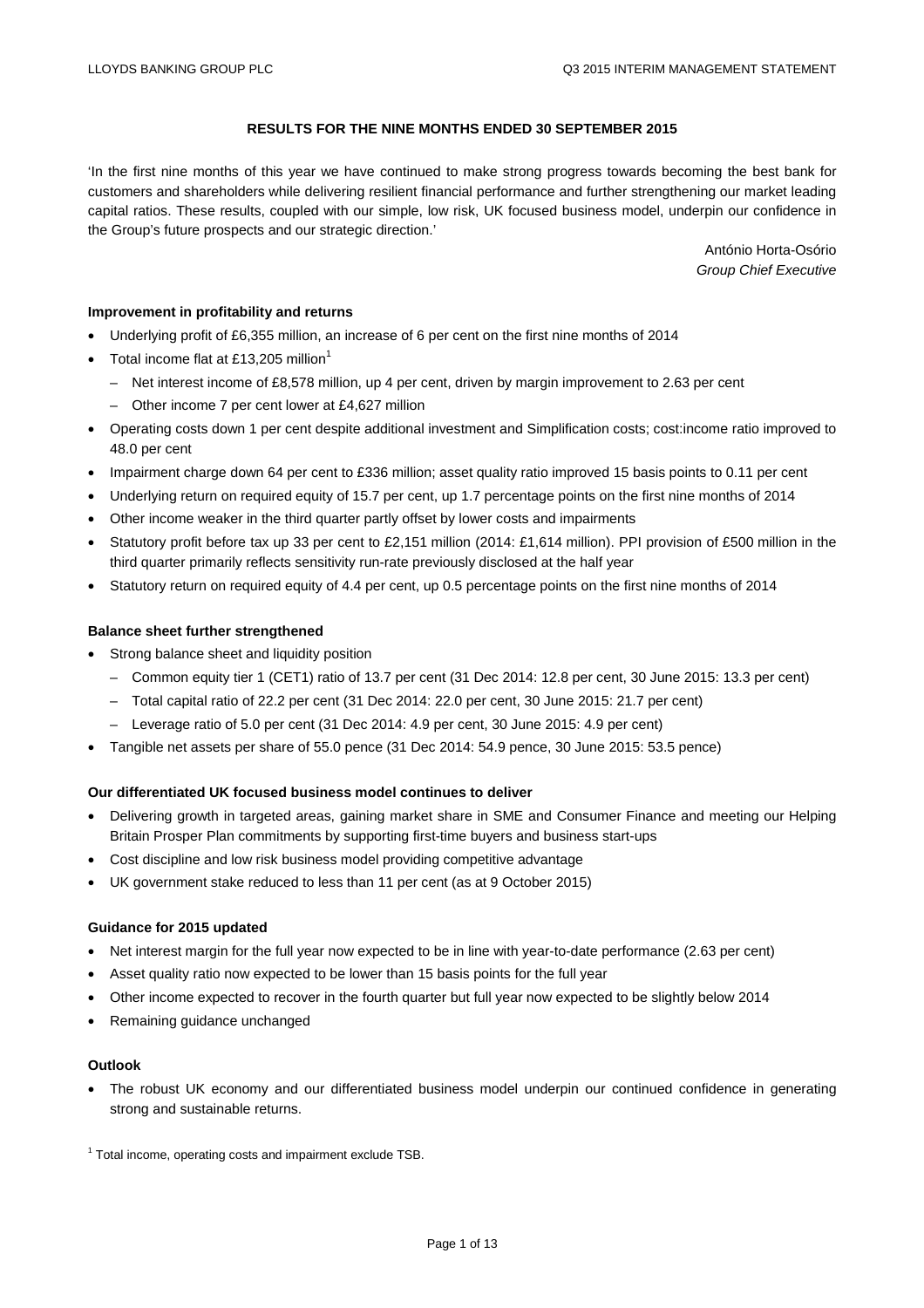# **RESULTS FOR THE NINE MONTHS ENDED 30 SEPTEMBER 2015**

'In the first nine months of this year we have continued to make strong progress towards becoming the best bank for customers and shareholders while delivering resilient financial performance and further strengthening our market leading capital ratios. These results, coupled with our simple, low risk, UK focused business model, underpin our confidence in the Group's future prospects and our strategic direction.'

> António Horta-Osório *Group Chief Executive*

#### **Improvement in profitability and returns**

- Underlying profit of £6,355 million, an increase of 6 per cent on the first nine months of 2014
- Total income flat at £13,205 million<sup>1</sup>
	- Net interest income of £8,578 million, up 4 per cent, driven by margin improvement to 2.63 per cent
	- Other income 7 per cent lower at £4,627 million
- Operating costs down 1 per cent despite additional investment and Simplification costs; cost:income ratio improved to 48.0 per cent
- Impairment charge down 64 per cent to £336 million; asset quality ratio improved 15 basis points to 0.11 per cent
- Underlying return on required equity of 15.7 per cent, up 1.7 percentage points on the first nine months of 2014
- Other income weaker in the third quarter partly offset by lower costs and impairments
- Statutory profit before tax up 33 per cent to £2,151 million (2014: £1,614 million). PPI provision of £500 million in the third quarter primarily reflects sensitivity run-rate previously disclosed at the half year
- Statutory return on required equity of 4.4 per cent, up 0.5 percentage points on the first nine months of 2014

#### **Balance sheet further strengthened**

- Strong balance sheet and liquidity position
	- Common equity tier 1 (CET1) ratio of 13.7 per cent (31 Dec 2014: 12.8 per cent, 30 June 2015: 13.3 per cent)
	- Total capital ratio of 22.2 per cent (31 Dec 2014: 22.0 per cent, 30 June 2015: 21.7 per cent)
	- Leverage ratio of 5.0 per cent (31 Dec 2014: 4.9 per cent, 30 June 2015: 4.9 per cent)
- Tangible net assets per share of 55.0 pence (31 Dec 2014: 54.9 pence, 30 June 2015: 53.5 pence)

#### **Our differentiated UK focused business model continues to deliver**

- Delivering growth in targeted areas, gaining market share in SME and Consumer Finance and meeting our Helping Britain Prosper Plan commitments by supporting first-time buyers and business start-ups
- Cost discipline and low risk business model providing competitive advantage
- UK government stake reduced to less than 11 per cent (as at 9 October 2015)

#### **Guidance for 2015 updated**

- Net interest margin for the full year now expected to be in line with year-to-date performance (2.63 per cent)
- Asset quality ratio now expected to be lower than 15 basis points for the full year
- Other income expected to recover in the fourth quarter but full year now expected to be slightly below 2014
- Remaining guidance unchanged

## **Outlook**

• The robust UK economy and our differentiated business model underpin our continued confidence in generating strong and sustainable returns.

<sup>1</sup> Total income, operating costs and impairment exclude TSB.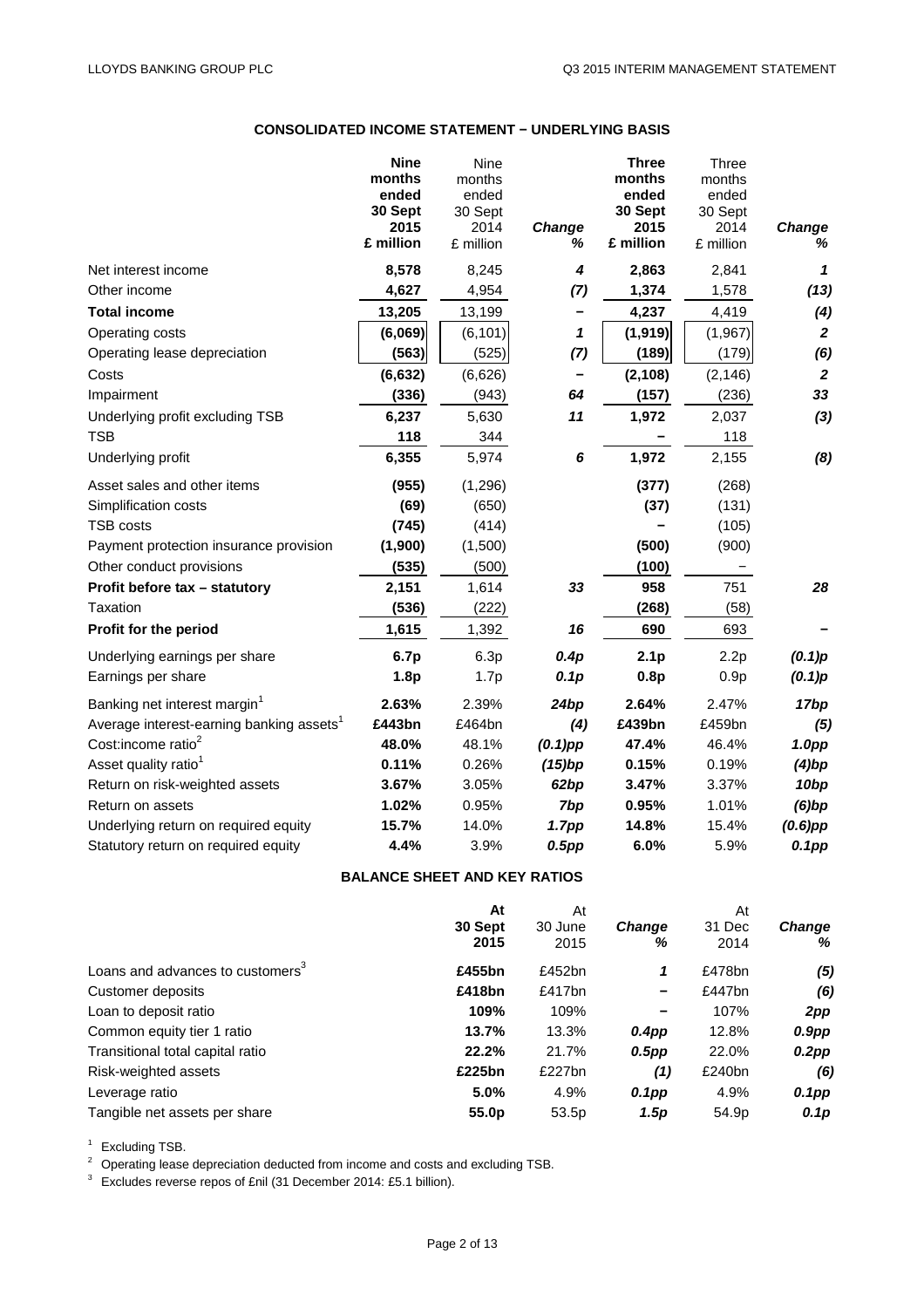# **CONSOLIDATED INCOME STATEMENT − UNDERLYING BASIS**

|                                                      | <b>Nine</b><br>months<br>ended<br>30 Sept<br>2015<br>£ million | Nine<br>months<br>ended<br>30 Sept<br>2014<br>£ million | Change<br>℅       | <b>Three</b><br>months<br>ended<br>30 Sept<br>2015<br>£ million | <b>Three</b><br>months<br>ended<br>30 Sept<br>2014<br>£ million | Change<br>%       |
|------------------------------------------------------|----------------------------------------------------------------|---------------------------------------------------------|-------------------|-----------------------------------------------------------------|-----------------------------------------------------------------|-------------------|
| Net interest income                                  | 8,578                                                          | 8,245                                                   | 4                 | 2,863                                                           | 2,841                                                           | 1                 |
| Other income                                         | 4,627                                                          | 4,954                                                   | (7)               | 1,374                                                           | 1,578                                                           | (13)              |
| <b>Total income</b>                                  | 13,205                                                         | 13,199                                                  |                   | 4,237                                                           | 4,419                                                           | (4)               |
| Operating costs                                      | (6,069)                                                        | (6, 101)                                                | 1                 | (1, 919)                                                        | (1, 967)                                                        | $\boldsymbol{2}$  |
| Operating lease depreciation                         | (563)                                                          | (525)                                                   | (7)               | (189)                                                           | (179)                                                           | (6)               |
| Costs                                                | (6, 632)                                                       | (6,626)                                                 | $\qquad \qquad -$ | (2, 108)                                                        | (2, 146)                                                        | $\overline{2}$    |
| Impairment                                           | (336)                                                          | (943)                                                   | 64                | (157)                                                           | (236)                                                           | 33                |
| Underlying profit excluding TSB                      | 6,237                                                          | 5,630                                                   | 11                | 1,972                                                           | 2,037                                                           | $(3)$             |
| <b>TSB</b>                                           | 118                                                            | 344                                                     |                   |                                                                 | 118                                                             |                   |
| Underlying profit                                    | 6,355                                                          | 5,974                                                   | $\pmb{6}$         | 1,972                                                           | 2,155                                                           | (8)               |
| Asset sales and other items                          | (955)                                                          | (1, 296)                                                |                   | (377)                                                           | (268)                                                           |                   |
| Simplification costs                                 | (69)                                                           | (650)                                                   |                   | (37)                                                            | (131)                                                           |                   |
| <b>TSB costs</b>                                     | (745)                                                          | (414)                                                   |                   |                                                                 | (105)                                                           |                   |
| Payment protection insurance provision               | (1,900)                                                        | (1,500)                                                 |                   | (500)                                                           | (900)                                                           |                   |
| Other conduct provisions                             | (535)                                                          | (500)                                                   |                   | (100)                                                           |                                                                 |                   |
| Profit before tax - statutory                        | 2,151                                                          | 1,614                                                   | 33                | 958                                                             | 751                                                             | 28                |
| Taxation                                             | (536)                                                          | (222)                                                   |                   | (268)                                                           | (58)                                                            |                   |
| Profit for the period                                | 1,615                                                          | 1,392                                                   | 16                | 690                                                             | 693                                                             |                   |
| Underlying earnings per share                        | 6.7p                                                           | 6.3p                                                    | 0.4p              | 2.1 <sub>p</sub>                                                | 2.2p                                                            | (0.1)p            |
| Earnings per share                                   | 1.8p                                                           | 1.7p                                                    | 0.1p              | 0.8p                                                            | 0.9p                                                            | (0.1)p            |
| Banking net interest margin <sup>1</sup>             | 2.63%                                                          | 2.39%                                                   | 24bp              | 2.64%                                                           | 2.47%                                                           | 17bp              |
| Average interest-earning banking assets <sup>1</sup> | £443bn                                                         | £464bn                                                  | (4)               | £439bn                                                          | £459bn                                                          | (5)               |
| Cost:income ratio <sup>2</sup>                       | 48.0%                                                          | 48.1%                                                   | $(0.1)$ pp        | 47.4%                                                           | 46.4%                                                           | 1.0 <sub>pp</sub> |
| Asset quality ratio <sup>1</sup>                     | 0.11%                                                          | 0.26%                                                   | (15)bp            | 0.15%                                                           | 0.19%                                                           | $(4)$ bp          |
| Return on risk-weighted assets                       | 3.67%                                                          | 3.05%                                                   | 62bp              | 3.47%                                                           | 3.37%                                                           | 10 <sub>bp</sub>  |
| Return on assets                                     | 1.02%                                                          | 0.95%                                                   | 7bp               | 0.95%                                                           | 1.01%                                                           | $(6)$ bp          |
| Underlying return on required equity                 | 15.7%                                                          | 14.0%                                                   | 1.7 <sub>pp</sub> | 14.8%                                                           | 15.4%                                                           | $(0.6)$ pp        |
| Statutory return on required equity                  | 4.4%                                                           | 3.9%                                                    | $0.5$ pp          | 6.0%                                                            | 5.9%                                                            | $0.1$ pp          |

# **BALANCE SHEET AND KEY RATIOS**

| At                |           |                 | At        |               |
|-------------------|-----------|-----------------|-----------|---------------|
| 30 Sept           | 30 June   | <b>Change</b>   | 31 Dec    | <b>Change</b> |
| 2015              | 2015      | %               | 2014      | %             |
| £455bn            | £452bn    | 1               | £478bn    | (5)           |
| £418bn            | £417 $bn$ | $\qquad \qquad$ | £447 $bn$ | (6)           |
| 109%              | 109%      |                 | 107%      | 2pp           |
| 13.7%             | 13.3%     | $0.4$ pp        | 12.8%     | $0.9$ pp      |
| 22.2%             | 21.7%     | $0.5$ pp        | 22.0%     | $0.2$ pp      |
| £225bn            | £227bn    | (1)             | £240bn    | (6)           |
| 5.0%              | 4.9%      | $0.1$ pp        | 4.9%      | 0.1pp         |
| 55.0 <sub>p</sub> | 53.5p     | 1.5p            | 54.9p     | 0.1p          |
|                   |           | At              |           |               |

<sup>1</sup> Excluding TSB.<br><sup>2</sup> Operating lease depreciation deducted from income and costs and excluding TSB.<br><sup>3</sup> Excludes reverse repos of £nil (31 December 2014: £5.1 billion).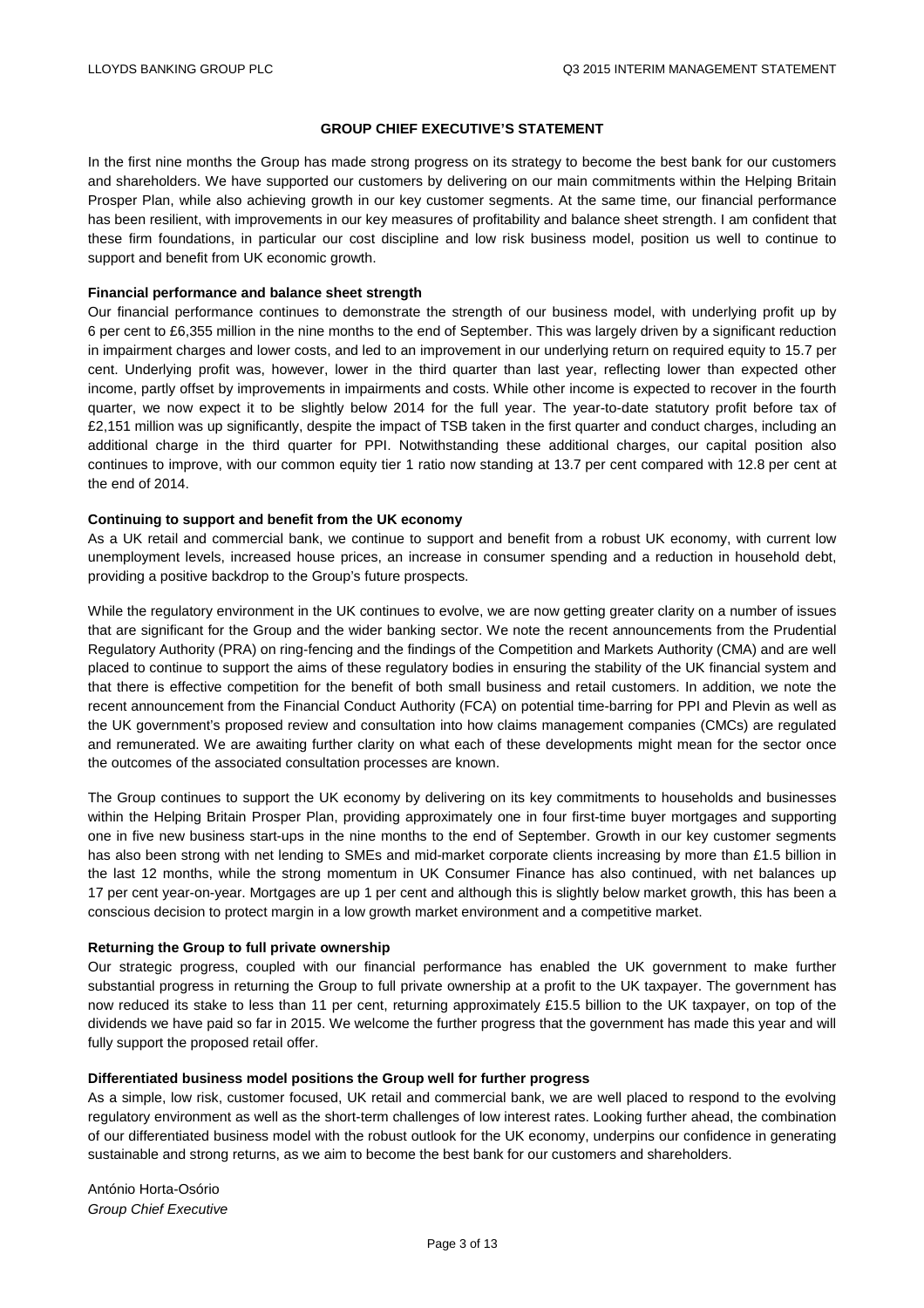## **GROUP CHIEF EXECUTIVE'S STATEMENT**

In the first nine months the Group has made strong progress on its strategy to become the best bank for our customers and shareholders. We have supported our customers by delivering on our main commitments within the Helping Britain Prosper Plan, while also achieving growth in our key customer segments. At the same time, our financial performance has been resilient, with improvements in our key measures of profitability and balance sheet strength. I am confident that these firm foundations, in particular our cost discipline and low risk business model, position us well to continue to support and benefit from UK economic growth.

#### **Financial performance and balance sheet strength**

Our financial performance continues to demonstrate the strength of our business model, with underlying profit up by 6 per cent to £6,355 million in the nine months to the end of September. This was largely driven by a significant reduction in impairment charges and lower costs, and led to an improvement in our underlying return on required equity to 15.7 per cent. Underlying profit was, however, lower in the third quarter than last year, reflecting lower than expected other income, partly offset by improvements in impairments and costs. While other income is expected to recover in the fourth quarter, we now expect it to be slightly below 2014 for the full year. The year-to-date statutory profit before tax of £2,151 million was up significantly, despite the impact of TSB taken in the first quarter and conduct charges, including an additional charge in the third quarter for PPI. Notwithstanding these additional charges, our capital position also continues to improve, with our common equity tier 1 ratio now standing at 13.7 per cent compared with 12.8 per cent at the end of 2014.

#### **Continuing to support and benefit from the UK economy**

As a UK retail and commercial bank, we continue to support and benefit from a robust UK economy, with current low unemployment levels, increased house prices, an increase in consumer spending and a reduction in household debt, providing a positive backdrop to the Group's future prospects.

While the regulatory environment in the UK continues to evolve, we are now getting greater clarity on a number of issues that are significant for the Group and the wider banking sector. We note the recent announcements from the Prudential Regulatory Authority (PRA) on ring-fencing and the findings of the Competition and Markets Authority (CMA) and are well placed to continue to support the aims of these regulatory bodies in ensuring the stability of the UK financial system and that there is effective competition for the benefit of both small business and retail customers. In addition, we note the recent announcement from the Financial Conduct Authority (FCA) on potential time-barring for PPI and Plevin as well as the UK government's proposed review and consultation into how claims management companies (CMCs) are regulated and remunerated. We are awaiting further clarity on what each of these developments might mean for the sector once the outcomes of the associated consultation processes are known.

The Group continues to support the UK economy by delivering on its key commitments to households and businesses within the Helping Britain Prosper Plan, providing approximately one in four first-time buyer mortgages and supporting one in five new business start-ups in the nine months to the end of September. Growth in our key customer segments has also been strong with net lending to SMEs and mid-market corporate clients increasing by more than £1.5 billion in the last 12 months, while the strong momentum in UK Consumer Finance has also continued, with net balances up 17 per cent year-on-year. Mortgages are up 1 per cent and although this is slightly below market growth, this has been a conscious decision to protect margin in a low growth market environment and a competitive market.

#### **Returning the Group to full private ownership**

Our strategic progress, coupled with our financial performance has enabled the UK government to make further substantial progress in returning the Group to full private ownership at a profit to the UK taxpayer. The government has now reduced its stake to less than 11 per cent, returning approximately £15.5 billion to the UK taxpayer, on top of the dividends we have paid so far in 2015. We welcome the further progress that the government has made this year and will fully support the proposed retail offer.

#### **Differentiated business model positions the Group well for further progress**

As a simple, low risk, customer focused, UK retail and commercial bank, we are well placed to respond to the evolving regulatory environment as well as the short-term challenges of low interest rates. Looking further ahead, the combination of our differentiated business model with the robust outlook for the UK economy, underpins our confidence in generating sustainable and strong returns, as we aim to become the best bank for our customers and shareholders.

António Horta-Osório *Group Chief Executive*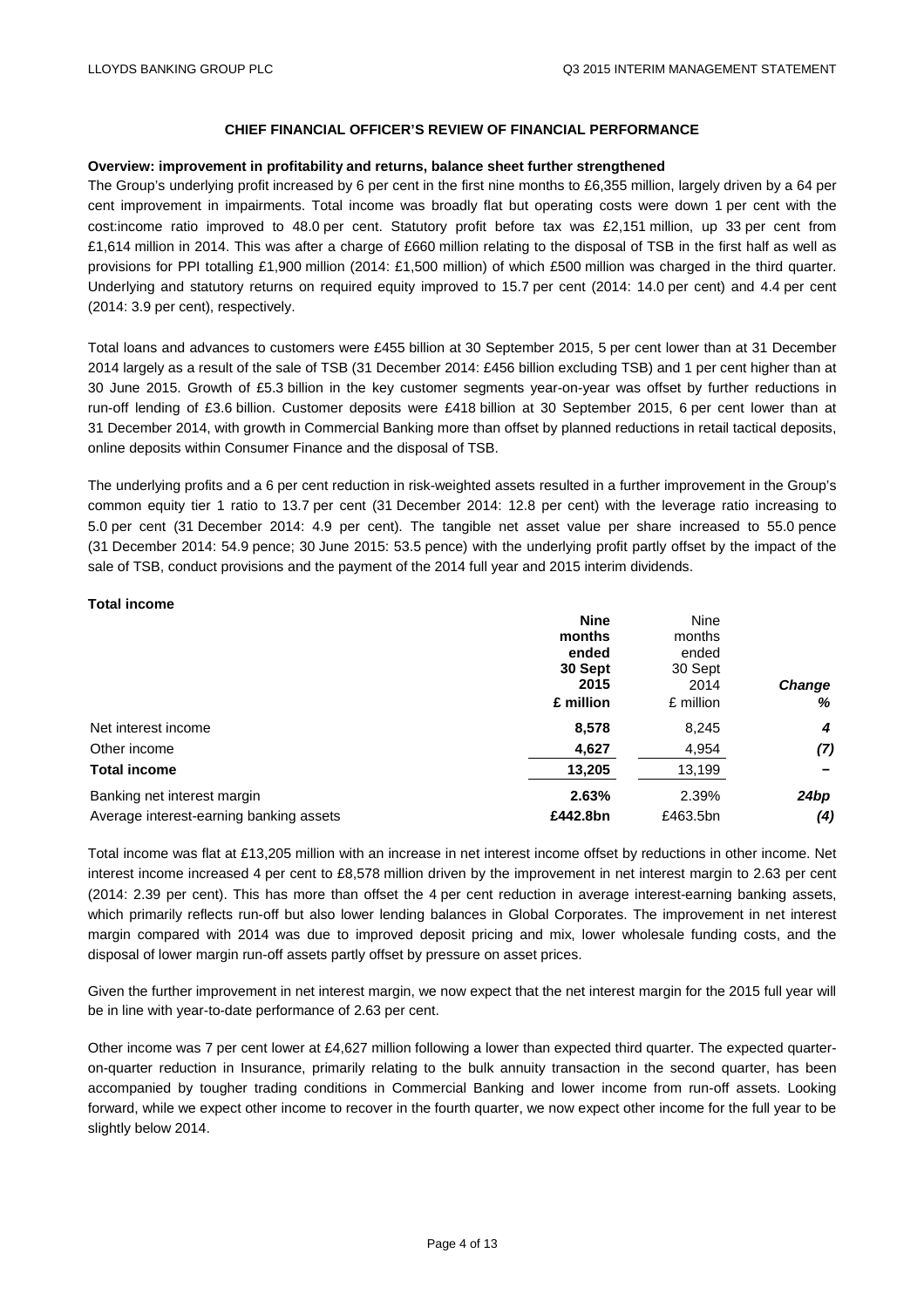#### **Overview: improvement in profitability and returns, balance sheet further strengthened**

The Group's underlying profit increased by 6 per cent in the first nine months to £6,355 million, largely driven by a 64 per cent improvement in impairments. Total income was broadly flat but operating costs were down 1 per cent with the cost:income ratio improved to 48.0 per cent. Statutory profit before tax was £2,151 million, up 33 per cent from £1,614 million in 2014. This was after a charge of £660 million relating to the disposal of TSB in the first half as well as provisions for PPI totalling £1,900 million (2014: £1,500 million) of which £500 million was charged in the third quarter. Underlying and statutory returns on required equity improved to 15.7 per cent (2014: 14.0 per cent) and 4.4 per cent (2014: 3.9 per cent), respectively.

Total loans and advances to customers were £455 billion at 30 September 2015, 5 per cent lower than at 31 December 2014 largely as a result of the sale of TSB (31 December 2014: £456 billion excluding TSB) and 1 per cent higher than at 30 June 2015. Growth of £5.3 billion in the key customer segments year-on-year was offset by further reductions in run-off lending of £3.6 billion. Customer deposits were £418 billion at 30 September 2015, 6 per cent lower than at 31 December 2014, with growth in Commercial Banking more than offset by planned reductions in retail tactical deposits, online deposits within Consumer Finance and the disposal of TSB.

The underlying profits and a 6 per cent reduction in risk-weighted assets resulted in a further improvement in the Group's common equity tier 1 ratio to 13.7 per cent (31 December 2014: 12.8 per cent) with the leverage ratio increasing to 5.0 per cent (31 December 2014: 4.9 per cent). The tangible net asset value per share increased to 55.0 pence (31 December 2014: 54.9 pence; 30 June 2015: 53.5 pence) with the underlying profit partly offset by the impact of the sale of TSB, conduct provisions and the payment of the 2014 full year and 2015 interim dividends.

#### **Total income**

| <b>Nine</b> | Nine      |               |
|-------------|-----------|---------------|
| months      | months    |               |
| ended       | ended     |               |
| 30 Sept     | 30 Sept   |               |
| 2015        | 2014      | <b>Change</b> |
| £ million   | £ million | %             |
| 8,578       | 8,245     | 4             |
| 4,627       | 4,954     | (7)           |
| 13,205      | 13,199    |               |
| 2.63%       | 2.39%     | 24bp          |
| £442.8bn    | £463.5bn  | (4)           |
|             |           |               |

Total income was flat at £13,205 million with an increase in net interest income offset by reductions in other income. Net interest income increased 4 per cent to £8,578 million driven by the improvement in net interest margin to 2.63 per cent (2014: 2.39 per cent). This has more than offset the 4 per cent reduction in average interest-earning banking assets, which primarily reflects run-off but also lower lending balances in Global Corporates. The improvement in net interest margin compared with 2014 was due to improved deposit pricing and mix, lower wholesale funding costs, and the disposal of lower margin run-off assets partly offset by pressure on asset prices.

Given the further improvement in net interest margin, we now expect that the net interest margin for the 2015 full year will be in line with year-to-date performance of 2.63 per cent.

Other income was 7 per cent lower at £4,627 million following a lower than expected third quarter. The expected quarteron-quarter reduction in Insurance, primarily relating to the bulk annuity transaction in the second quarter, has been accompanied by tougher trading conditions in Commercial Banking and lower income from run-off assets. Looking forward, while we expect other income to recover in the fourth quarter, we now expect other income for the full year to be slightly below 2014.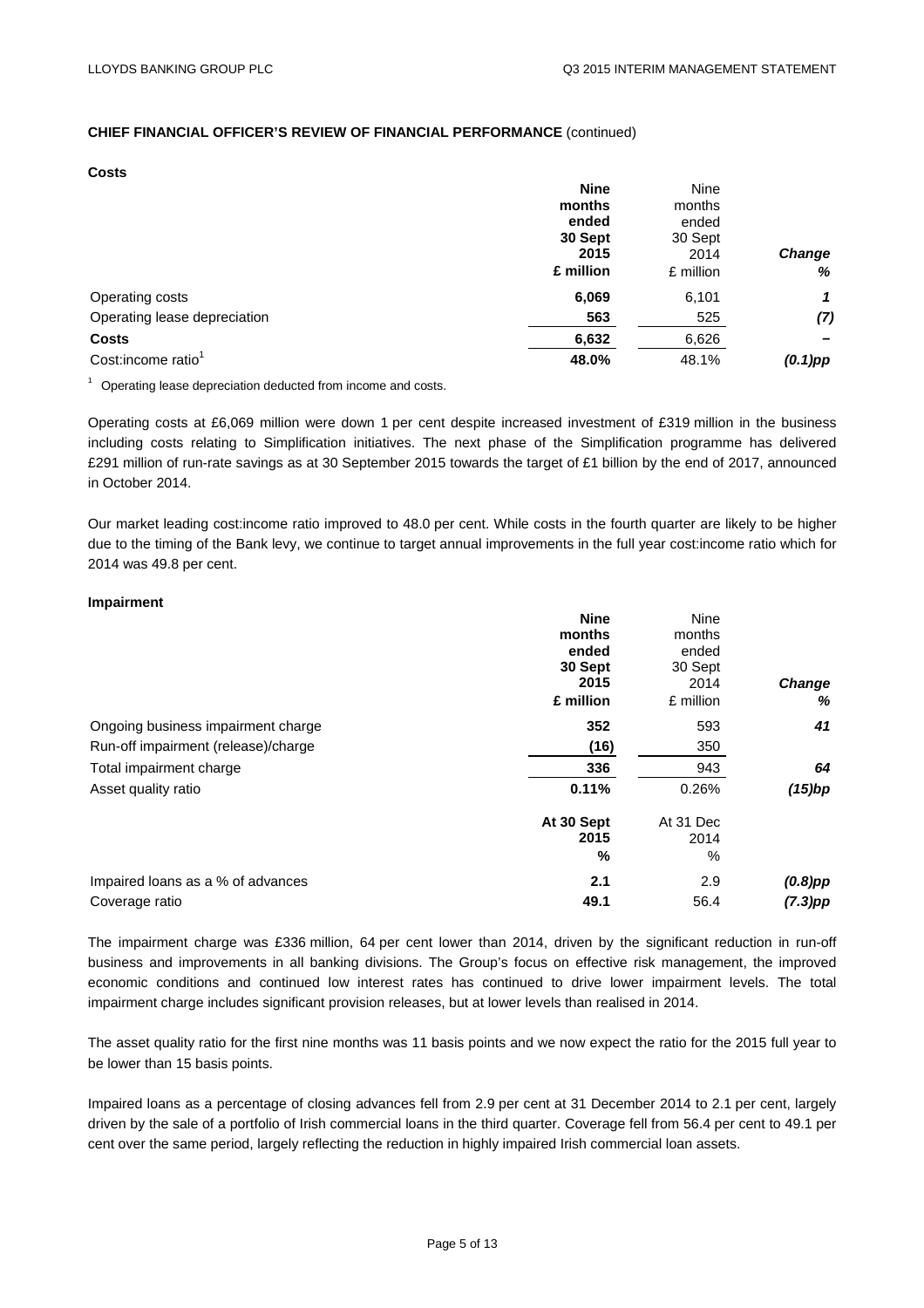**Costs** 

|                                | <b>Nine</b> | Nine      |               |
|--------------------------------|-------------|-----------|---------------|
|                                | months      | months    |               |
|                                | ended       | ended     |               |
|                                | 30 Sept     | 30 Sept   |               |
|                                | 2015        | 2014      | <b>Change</b> |
|                                | £ million   | £ million | %             |
| Operating costs                | 6,069       | 6,101     | 1             |
| Operating lease depreciation   | 563         | 525       | (7)           |
| <b>Costs</b>                   | 6,632       | 6,626     |               |
| Cost:income ratio <sup>1</sup> | 48.0%       | 48.1%     | $(0.1)$ pp    |

 $1$  Operating lease depreciation deducted from income and costs.

Operating costs at £6,069 million were down 1 per cent despite increased investment of £319 million in the business including costs relating to Simplification initiatives. The next phase of the Simplification programme has delivered £291 million of run-rate savings as at 30 September 2015 towards the target of £1 billion by the end of 2017, announced in October 2014.

Our market leading cost:income ratio improved to 48.0 per cent. While costs in the fourth quarter are likely to be higher due to the timing of the Bank levy, we continue to target annual improvements in the full year cost:income ratio which for 2014 was 49.8 per cent.

#### **Impairment**

|                                     | <b>Nine</b> | Nine      |               |
|-------------------------------------|-------------|-----------|---------------|
|                                     | months      | months    |               |
|                                     | ended       | ended     |               |
|                                     | 30 Sept     | 30 Sept   |               |
|                                     | 2015        | 2014      | <b>Change</b> |
|                                     | £ million   | £ million | %             |
| Ongoing business impairment charge  | 352         | 593       | 41            |
| Run-off impairment (release)/charge | (16)        | 350       |               |
| Total impairment charge             | 336         | 943       | 64            |
| Asset quality ratio                 | 0.11%       | 0.26%     | $(15)$ bp     |
|                                     | At 30 Sept  | At 31 Dec |               |
|                                     | 2015        | 2014      |               |
|                                     | %           | $\%$      |               |
| Impaired loans as a % of advances   | 2.1         | 2.9       | $(0.8)$ pp    |
| Coverage ratio                      | 49.1        | 56.4      | $(7.3)$ pp    |

The impairment charge was £336 million, 64 per cent lower than 2014, driven by the significant reduction in run-off business and improvements in all banking divisions. The Group's focus on effective risk management, the improved economic conditions and continued low interest rates has continued to drive lower impairment levels. The total impairment charge includes significant provision releases, but at lower levels than realised in 2014.

The asset quality ratio for the first nine months was 11 basis points and we now expect the ratio for the 2015 full year to be lower than 15 basis points.

Impaired loans as a percentage of closing advances fell from 2.9 per cent at 31 December 2014 to 2.1 per cent, largely driven by the sale of a portfolio of Irish commercial loans in the third quarter. Coverage fell from 56.4 per cent to 49.1 per cent over the same period, largely reflecting the reduction in highly impaired Irish commercial loan assets.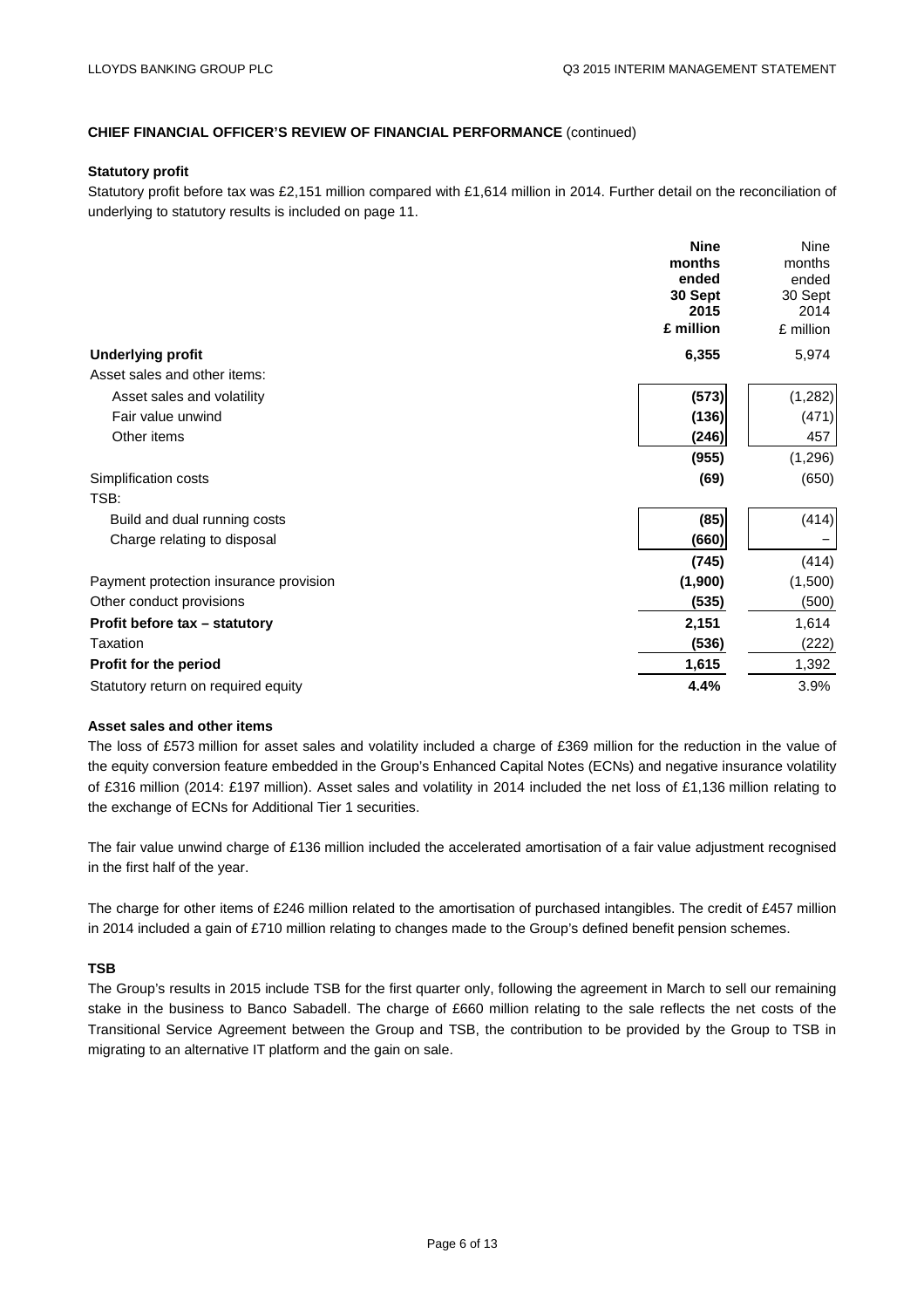#### **Statutory profit**

Statutory profit before tax was £2,151 million compared with £1,614 million in 2014. Further detail on the reconciliation of underlying to statutory results is included on page 11.

|                                        | <b>Nine</b> | <b>Nine</b> |
|----------------------------------------|-------------|-------------|
|                                        | months      | months      |
|                                        | ended       | ended       |
|                                        | 30 Sept     | 30 Sept     |
|                                        | 2015        | 2014        |
|                                        | £ million   | £ million   |
| <b>Underlying profit</b>               | 6,355       | 5,974       |
| Asset sales and other items:           |             |             |
| Asset sales and volatility             | (573)       | (1,282)     |
| Fair value unwind                      | (136)       | (471)       |
| Other items                            | (246)       | 457         |
|                                        | (955)       | (1, 296)    |
| Simplification costs                   | (69)        | (650)       |
| TSB:                                   |             |             |
| Build and dual running costs           | (85)        | (414)       |
| Charge relating to disposal            | (660)       |             |
|                                        | (745)       | (414)       |
| Payment protection insurance provision | (1,900)     | (1,500)     |
| Other conduct provisions               | (535)       | (500)       |
| Profit before tax - statutory          | 2,151       | 1,614       |
| Taxation                               | (536)       | (222)       |
| Profit for the period                  | 1,615       | 1,392       |
| Statutory return on required equity    | 4.4%        | 3.9%        |

#### **Asset sales and other items**

The loss of £573 million for asset sales and volatility included a charge of £369 million for the reduction in the value of the equity conversion feature embedded in the Group's Enhanced Capital Notes (ECNs) and negative insurance volatility of £316 million (2014: £197 million). Asset sales and volatility in 2014 included the net loss of £1,136 million relating to the exchange of ECNs for Additional Tier 1 securities.

The fair value unwind charge of £136 million included the accelerated amortisation of a fair value adjustment recognised in the first half of the year.

The charge for other items of £246 million related to the amortisation of purchased intangibles. The credit of £457 million in 2014 included a gain of £710 million relating to changes made to the Group's defined benefit pension schemes.

#### **TSB**

The Group's results in 2015 include TSB for the first quarter only, following the agreement in March to sell our remaining stake in the business to Banco Sabadell. The charge of £660 million relating to the sale reflects the net costs of the Transitional Service Agreement between the Group and TSB, the contribution to be provided by the Group to TSB in migrating to an alternative IT platform and the gain on sale.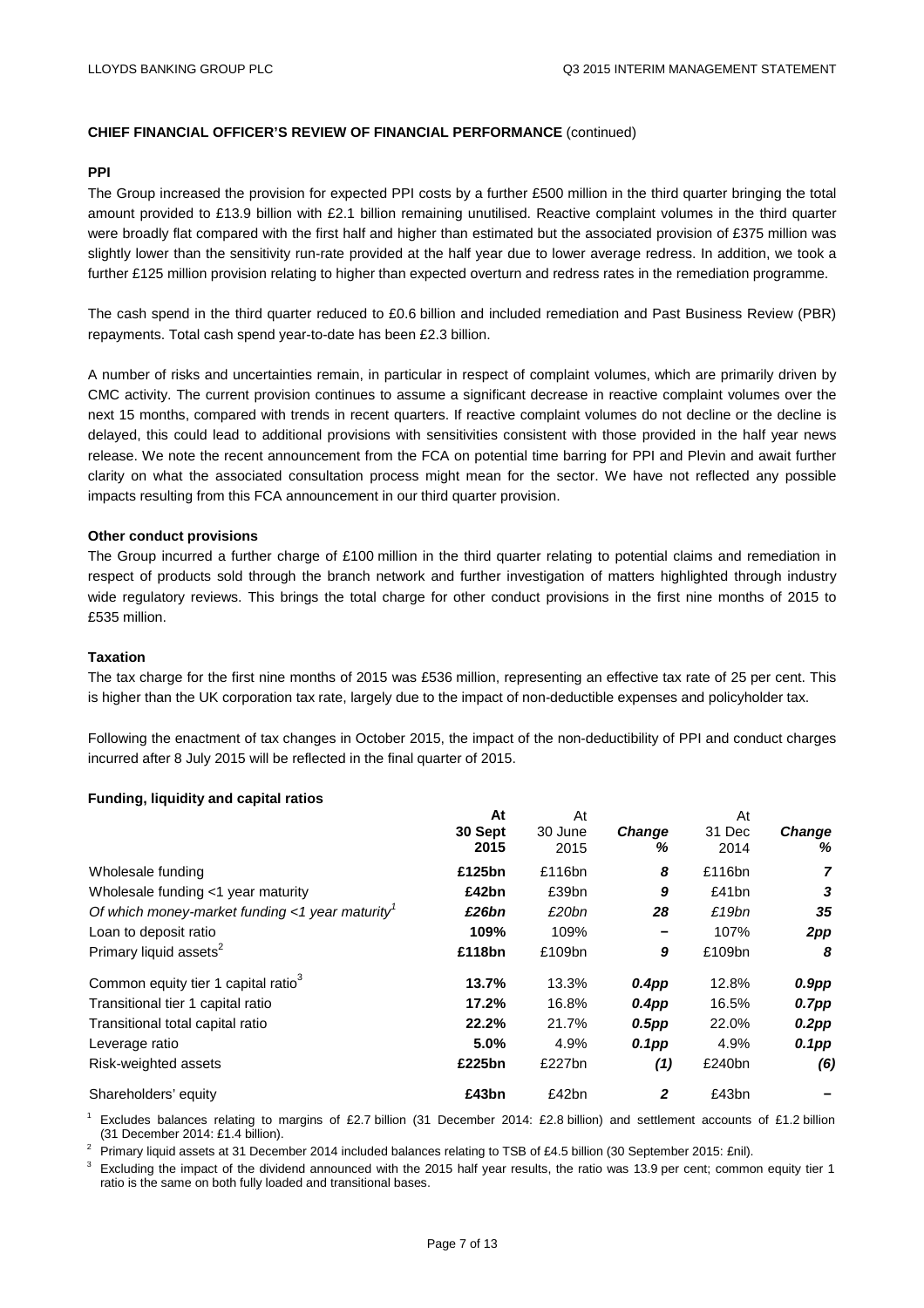#### **PPI**

The Group increased the provision for expected PPI costs by a further £500 million in the third quarter bringing the total amount provided to £13.9 billion with £2.1 billion remaining unutilised. Reactive complaint volumes in the third quarter were broadly flat compared with the first half and higher than estimated but the associated provision of £375 million was slightly lower than the sensitivity run-rate provided at the half year due to lower average redress. In addition, we took a further £125 million provision relating to higher than expected overturn and redress rates in the remediation programme.

The cash spend in the third quarter reduced to £0.6 billion and included remediation and Past Business Review (PBR) repayments. Total cash spend year-to-date has been £2.3 billion.

A number of risks and uncertainties remain, in particular in respect of complaint volumes, which are primarily driven by CMC activity. The current provision continues to assume a significant decrease in reactive complaint volumes over the next 15 months, compared with trends in recent quarters. If reactive complaint volumes do not decline or the decline is delayed, this could lead to additional provisions with sensitivities consistent with those provided in the half year news release. We note the recent announcement from the FCA on potential time barring for PPI and Plevin and await further clarity on what the associated consultation process might mean for the sector. We have not reflected any possible impacts resulting from this FCA announcement in our third quarter provision.

#### **Other conduct provisions**

The Group incurred a further charge of £100 million in the third quarter relating to potential claims and remediation in respect of products sold through the branch network and further investigation of matters highlighted through industry wide regulatory reviews. This brings the total charge for other conduct provisions in the first nine months of 2015 to £535 million.

#### **Taxation**

The tax charge for the first nine months of 2015 was £536 million, representing an effective tax rate of 25 per cent. This is higher than the UK corporation tax rate, largely due to the impact of non-deductible expenses and policyholder tax.

Following the enactment of tax changes in October 2015, the impact of the non-deductibility of PPI and conduct charges incurred after 8 July 2015 will be reflected in the final quarter of 2015.

#### **Funding, liquidity and capital ratios**

|                                                 | At      | At      |                   | At     |               |
|-------------------------------------------------|---------|---------|-------------------|--------|---------------|
|                                                 | 30 Sept | 30 June | <b>Change</b>     | 31 Dec | <b>Change</b> |
|                                                 | 2015    | 2015    | ℅                 | 2014   | %             |
| Wholesale funding                               | £125bn  | £116bn  | 8                 | £116bn | 7             |
| Wholesale funding <1 year maturity              | £42bn   | £39bn   | 9                 | £41bn  | 3             |
| Of which money-market funding <1 year maturity  | £26bn   | £20bn   | 28                | £19bn  | 35            |
| Loan to deposit ratio                           | 109%    | 109%    | -                 | 107%   | 2pp           |
| Primary liquid assets <sup>2</sup>              | £118bn  | £109bn  | 9                 | £109bn | 8             |
| Common equity tier 1 capital ratio <sup>3</sup> | 13.7%   | 13.3%   | 0.4 <sub>DP</sub> | 12.8%  | $0.9$ pp      |
| Transitional tier 1 capital ratio               | 17.2%   | 16.8%   | $0.4$ pp          | 16.5%  | $0.7$ pp      |
| Transitional total capital ratio                | 22.2%   | 21.7%   | $0.5$ pp          | 22.0%  | $0.2$ pp      |
| Leverage ratio                                  | 5.0%    | 4.9%    | $0.1$ pp          | 4.9%   | $0.1$ pp      |
| Risk-weighted assets                            | £225bn  | £227bn  | (1)               | £240bn | (6)           |
| Shareholders' equity                            | £43bn   | £42bn   | $\mathbf{2}$      | £43bn  |               |

<sup>1</sup> Excludes balances relating to margins of £2.7 billion (31 December 2014: £2.8 billion) and settlement accounts of £1.2 billion

 $^2$  Primary liquid assets at 31 December 2014 included balances relating to TSB of £4.5 billion (30 September 2015: £nil).<br><sup>3</sup> Excluding the impact of the dividend announced with the 2015 half year results, the ratio was ratio is the same on both fully loaded and transitional bases.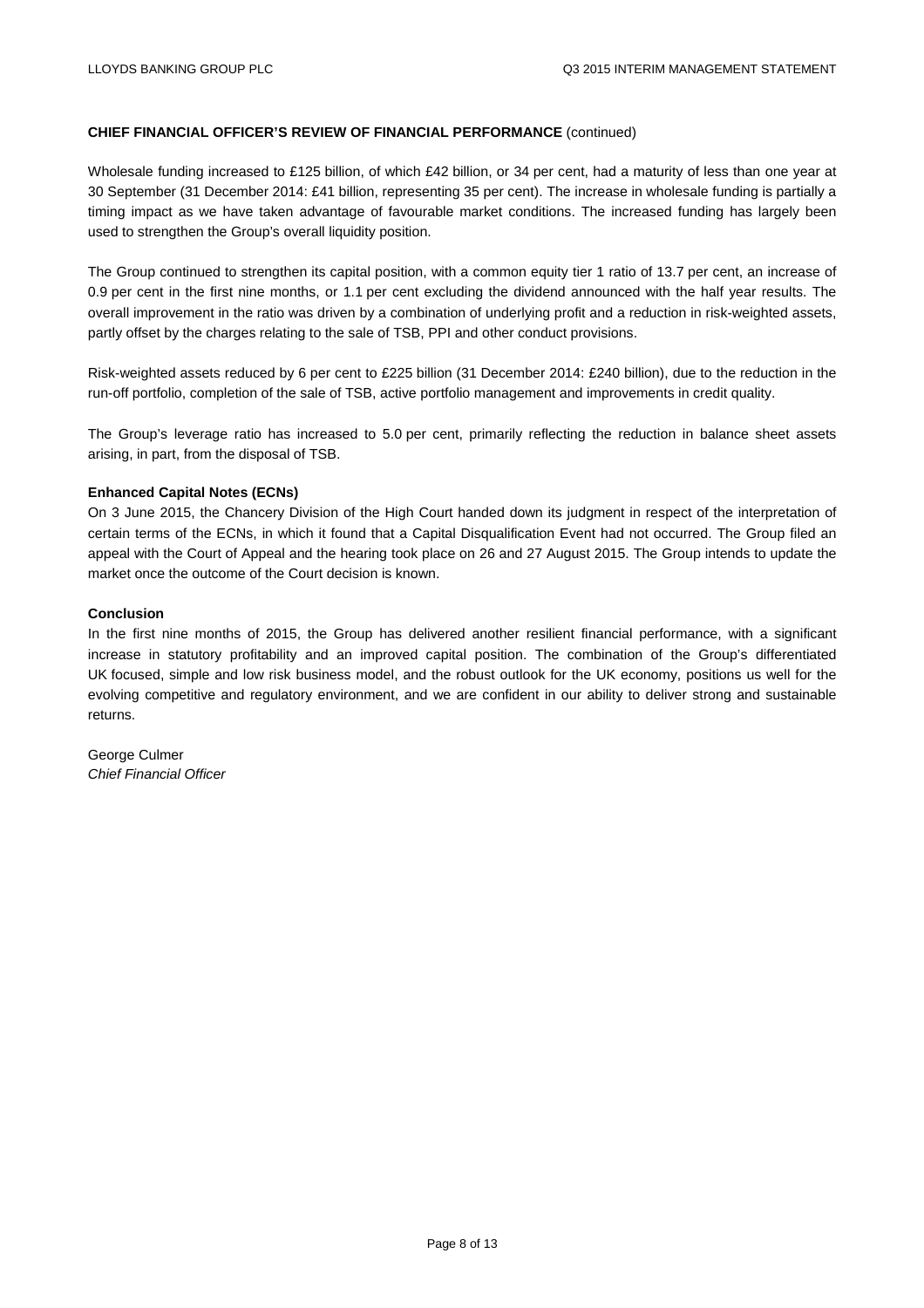Wholesale funding increased to £125 billion, of which £42 billion, or 34 per cent, had a maturity of less than one year at 30 September (31 December 2014: £41 billion, representing 35 per cent). The increase in wholesale funding is partially a timing impact as we have taken advantage of favourable market conditions. The increased funding has largely been used to strengthen the Group's overall liquidity position.

The Group continued to strengthen its capital position, with a common equity tier 1 ratio of 13.7 per cent, an increase of 0.9 per cent in the first nine months, or 1.1 per cent excluding the dividend announced with the half year results. The overall improvement in the ratio was driven by a combination of underlying profit and a reduction in risk-weighted assets, partly offset by the charges relating to the sale of TSB, PPI and other conduct provisions.

Risk-weighted assets reduced by 6 per cent to £225 billion (31 December 2014: £240 billion), due to the reduction in the run-off portfolio, completion of the sale of TSB, active portfolio management and improvements in credit quality.

The Group's leverage ratio has increased to 5.0 per cent, primarily reflecting the reduction in balance sheet assets arising, in part, from the disposal of TSB.

#### **Enhanced Capital Notes (ECNs)**

On 3 June 2015, the Chancery Division of the High Court handed down its judgment in respect of the interpretation of certain terms of the ECNs, in which it found that a Capital Disqualification Event had not occurred. The Group filed an appeal with the Court of Appeal and the hearing took place on 26 and 27 August 2015. The Group intends to update the market once the outcome of the Court decision is known.

#### **Conclusion**

In the first nine months of 2015, the Group has delivered another resilient financial performance, with a significant increase in statutory profitability and an improved capital position. The combination of the Group's differentiated UK focused, simple and low risk business model, and the robust outlook for the UK economy, positions us well for the evolving competitive and regulatory environment, and we are confident in our ability to deliver strong and sustainable returns.

George Culmer *Chief Financial Officer*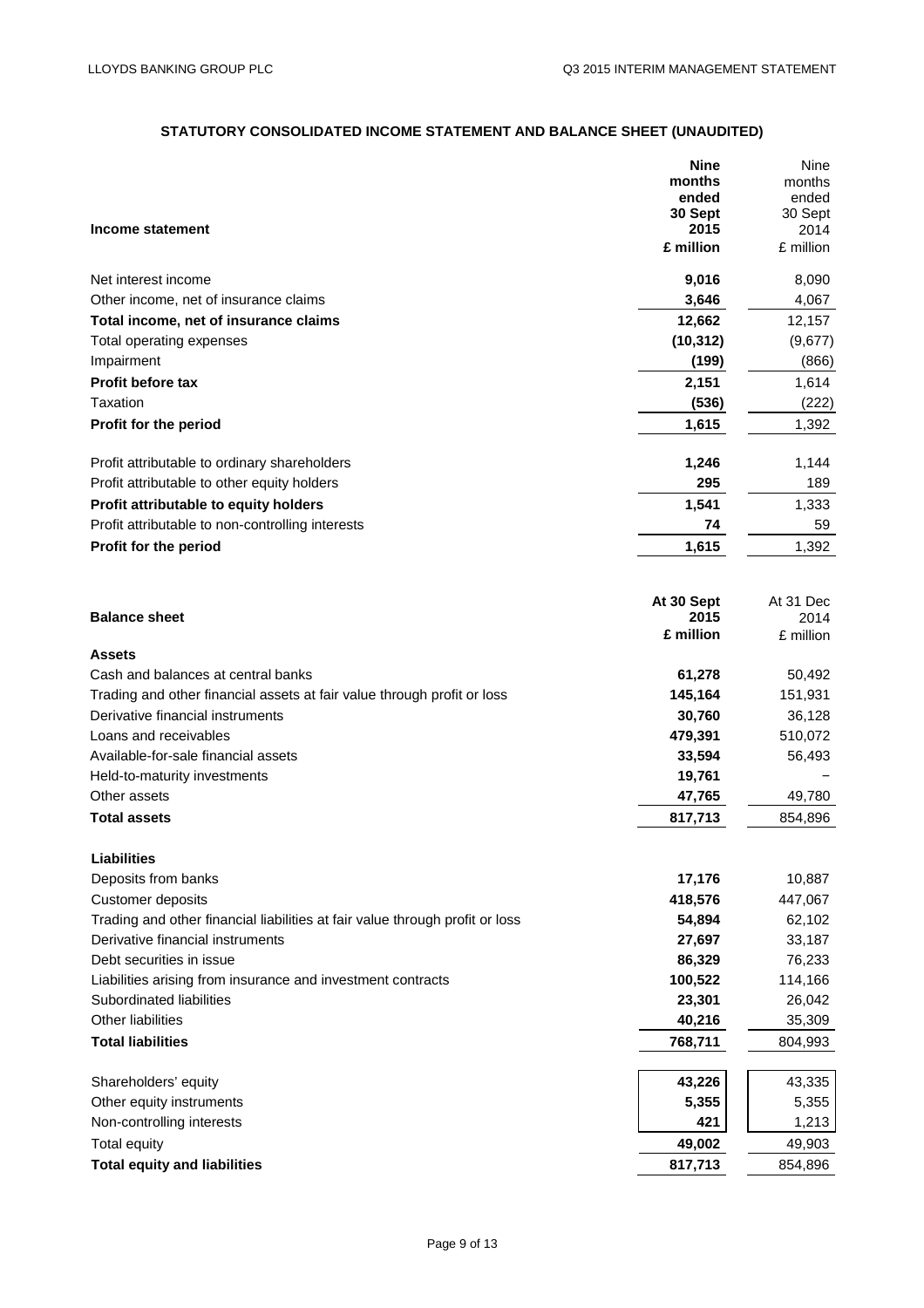# **STATUTORY CONSOLIDATED INCOME STATEMENT AND BALANCE SHEET (UNAUDITED)**

|                                                                              | <b>Nine</b><br>months<br>ended | Nine<br>months<br>ended |
|------------------------------------------------------------------------------|--------------------------------|-------------------------|
|                                                                              | 30 Sept                        | 30 Sept                 |
| Income statement                                                             | 2015<br>£ million              | 2014<br>£ million       |
|                                                                              |                                |                         |
| Net interest income                                                          | 9,016                          | 8,090                   |
| Other income, net of insurance claims                                        | 3,646                          | 4,067                   |
| Total income, net of insurance claims                                        | 12,662                         | 12,157                  |
| Total operating expenses                                                     | (10, 312)                      | (9,677)                 |
| Impairment                                                                   | (199)                          | (866)                   |
| <b>Profit before tax</b>                                                     | 2,151                          | 1,614                   |
| Taxation                                                                     | (536)                          | (222)                   |
| Profit for the period                                                        | 1,615                          | 1,392                   |
| Profit attributable to ordinary shareholders                                 | 1,246                          | 1,144                   |
| Profit attributable to other equity holders                                  | 295                            | 189                     |
| Profit attributable to equity holders                                        | 1,541                          | 1,333                   |
| Profit attributable to non-controlling interests                             | 74                             | 59                      |
| Profit for the period                                                        | 1,615                          | 1,392                   |
|                                                                              |                                |                         |
|                                                                              | At 30 Sept                     | At 31 Dec               |
| <b>Balance sheet</b>                                                         | 2015<br>£ million              | 2014<br>£ million       |
| <b>Assets</b>                                                                |                                |                         |
| Cash and balances at central banks                                           | 61,278                         | 50,492                  |
| Trading and other financial assets at fair value through profit or loss      | 145,164                        | 151,931                 |
| Derivative financial instruments                                             | 30,760                         | 36,128                  |
| Loans and receivables                                                        | 479,391                        | 510,072                 |
| Available-for-sale financial assets                                          | 33,594                         | 56,493                  |
| Held-to-maturity investments                                                 | 19,761                         |                         |
| Other assets                                                                 | 47,765                         | 49,780                  |
| <b>Total assets</b>                                                          | 817,713                        | 854,896                 |
|                                                                              |                                |                         |
| <b>Liabilities</b><br>Deposits from banks                                    | 17,176                         | 10,887                  |
| Customer deposits                                                            | 418,576                        | 447,067                 |
| Trading and other financial liabilities at fair value through profit or loss | 54,894                         | 62,102                  |
| Derivative financial instruments                                             | 27,697                         | 33,187                  |
| Debt securities in issue                                                     | 86,329                         | 76,233                  |
| Liabilities arising from insurance and investment contracts                  | 100,522                        | 114,166                 |
| Subordinated liabilities                                                     | 23,301                         | 26,042                  |
| Other liabilities                                                            | 40,216                         | 35,309                  |
| <b>Total liabilities</b>                                                     | 768,711                        | 804,993                 |
|                                                                              |                                |                         |
| Shareholders' equity                                                         | 43,226                         | 43,335                  |
| Other equity instruments                                                     | 5,355                          | 5,355                   |
| Non-controlling interests                                                    | 421                            | 1,213                   |
| Total equity                                                                 | 49,002                         | 49,903                  |
| <b>Total equity and liabilities</b>                                          | 817,713                        | 854,896                 |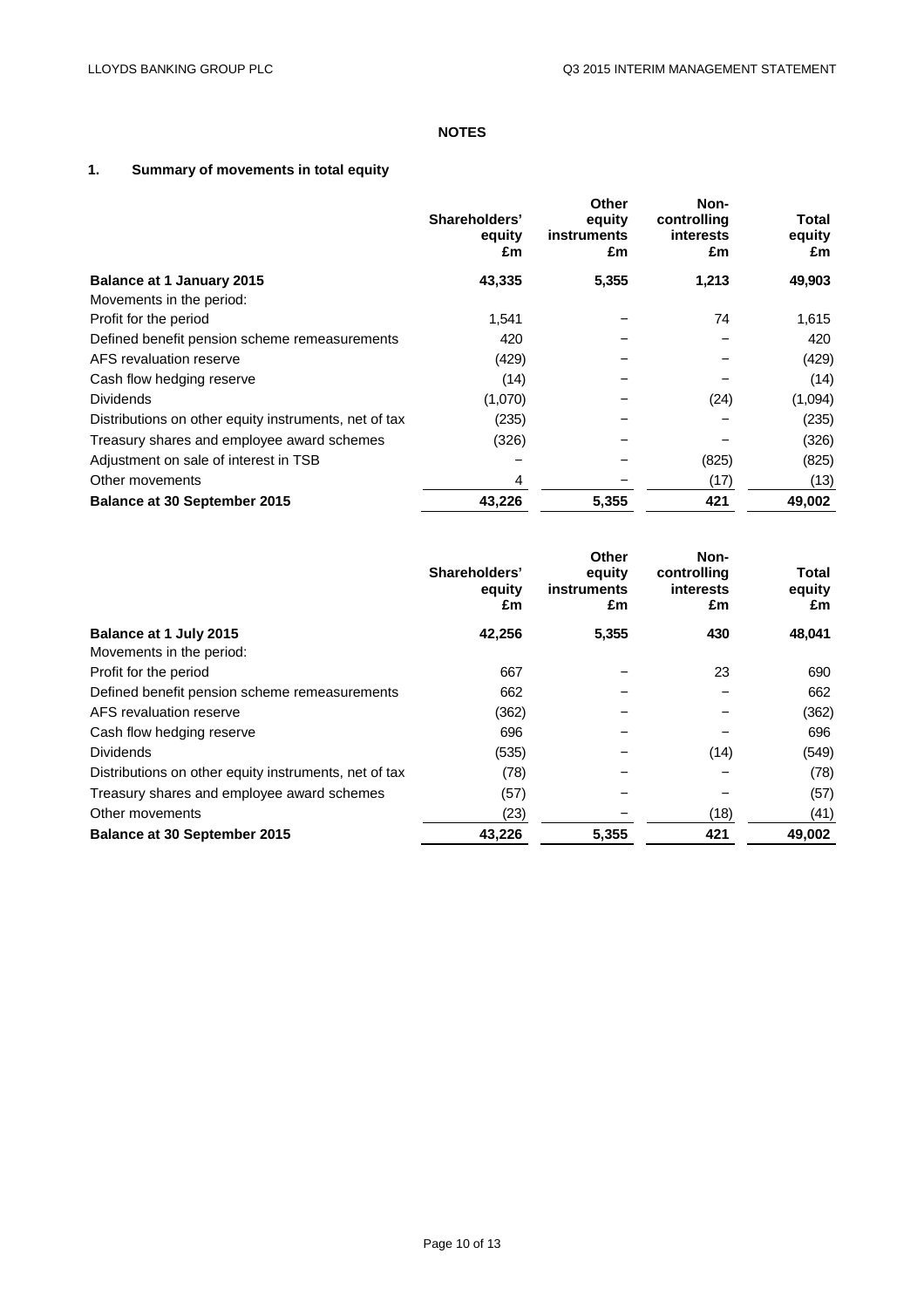# **NOTES**

# **1. Summary of movements in total equity**

|                                                       | Shareholders'<br>equity<br>£m | <b>Other</b><br>equity<br>instruments<br>£m | Non-<br>controlling<br><b>interests</b><br>£m | Total<br>equity<br>£m |
|-------------------------------------------------------|-------------------------------|---------------------------------------------|-----------------------------------------------|-----------------------|
| <b>Balance at 1 January 2015</b>                      | 43,335                        | 5,355                                       | 1,213                                         | 49,903                |
| Movements in the period:                              |                               |                                             |                                               |                       |
| Profit for the period                                 | 1,541                         |                                             | 74                                            | 1,615                 |
| Defined benefit pension scheme remeasurements         | 420                           |                                             |                                               | 420                   |
| AFS revaluation reserve                               | (429)                         |                                             |                                               | (429)                 |
| Cash flow hedging reserve                             | (14)                          |                                             |                                               | (14)                  |
| <b>Dividends</b>                                      | (1,070)                       |                                             | (24)                                          | (1,094)               |
| Distributions on other equity instruments, net of tax | (235)                         |                                             |                                               | (235)                 |
| Treasury shares and employee award schemes            | (326)                         |                                             |                                               | (326)                 |
| Adjustment on sale of interest in TSB                 |                               |                                             | (825)                                         | (825)                 |
| Other movements                                       | 4                             |                                             | (17)                                          | (13)                  |
| <b>Balance at 30 September 2015</b>                   | 43,226                        | 5,355                                       | 421                                           | 49,002                |

|                                                       | Shareholders'<br>equity<br>£m | Other<br>equity<br>instruments<br>£m | Non-<br>controlling<br>interests<br>£m | Total<br>equity<br>£m |
|-------------------------------------------------------|-------------------------------|--------------------------------------|----------------------------------------|-----------------------|
| Balance at 1 July 2015                                | 42,256                        | 5,355                                | 430                                    | 48,041                |
| Movements in the period:                              |                               |                                      |                                        |                       |
| Profit for the period                                 | 667                           |                                      | 23                                     | 690                   |
| Defined benefit pension scheme remeasurements         | 662                           |                                      |                                        | 662                   |
| AFS revaluation reserve                               | (362)                         |                                      |                                        | (362)                 |
| Cash flow hedging reserve                             | 696                           |                                      |                                        | 696                   |
| <b>Dividends</b>                                      | (535)                         |                                      | (14)                                   | (549)                 |
| Distributions on other equity instruments, net of tax | (78)                          |                                      |                                        | (78)                  |
| Treasury shares and employee award schemes            | (57)                          |                                      |                                        | (57)                  |
| Other movements                                       | (23)                          |                                      | (18)                                   | (41)                  |
| <b>Balance at 30 September 2015</b>                   | 43,226                        | 5,355                                | 421                                    | 49,002                |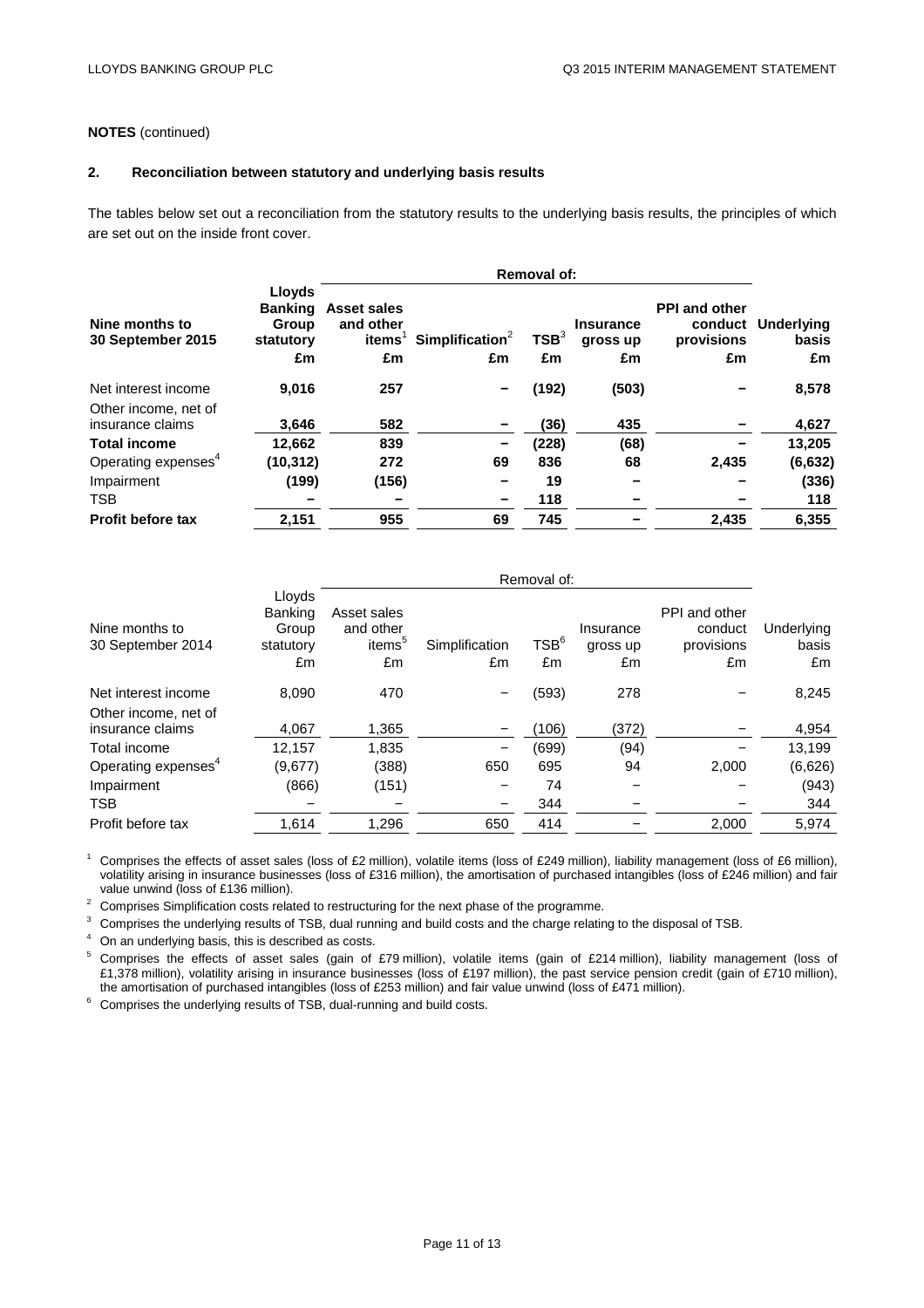# **NOTES** (continued)

#### **2. Reconciliation between statutory and underlying basis results**

The tables below set out a reconciliation from the statutory results to the underlying basis results, the principles of which are set out on the inside front cover.

|                                          |                                                      | <b>Removal of:</b>                                          |                                   |                        |                                    |                                                     |                           |
|------------------------------------------|------------------------------------------------------|-------------------------------------------------------------|-----------------------------------|------------------------|------------------------------------|-----------------------------------------------------|---------------------------|
| Nine months to<br>30 September 2015      | Lloyds<br><b>Banking</b><br>Group<br>statutory<br>£m | <b>Asset sales</b><br>and other<br>items <sup>'</sup><br>£m | Simplification <sup>2</sup><br>£m | TSB <sup>3</sup><br>£m | <b>Insurance</b><br>gross up<br>£m | <b>PPI and other</b><br>conduct<br>provisions<br>£m | Underlying<br>basis<br>£m |
| Net interest income                      | 9,016                                                | 257                                                         | $\overline{\phantom{0}}$          | (192)                  | (503)                              |                                                     | 8,578                     |
| Other income, net of<br>insurance claims | 3,646                                                | 582                                                         |                                   | (36)                   | 435                                |                                                     | 4,627                     |
| <b>Total income</b>                      | 12,662                                               | 839                                                         | $\qquad \qquad$                   | (228)                  | (68)                               |                                                     | 13,205                    |
| Operating expenses <sup>4</sup>          | (10, 312)                                            | 272                                                         | 69                                | 836                    | 68                                 | 2,435                                               | (6, 632)                  |
| Impairment                               | (199)                                                | (156)                                                       |                                   | 19                     |                                    |                                                     | (336)                     |
| TSB                                      |                                                      |                                                             | $\overline{\phantom{0}}$          | 118                    |                                    |                                                     | 118                       |
| <b>Profit before tax</b>                 | 2,151                                                | 955                                                         | 69                                | 745                    |                                    | 2,435                                               | 6,355                     |

|                                     |                                               | Removal of:                                          |                          |                        |                             |                                              |                           |
|-------------------------------------|-----------------------------------------------|------------------------------------------------------|--------------------------|------------------------|-----------------------------|----------------------------------------------|---------------------------|
| Nine months to<br>30 September 2014 | Lloyds<br>Banking<br>Group<br>statutory<br>£m | Asset sales<br>and other<br>items <sup>5</sup><br>£m | Simplification<br>£m     | TSB <sup>6</sup><br>£m | Insurance<br>gross up<br>£m | PPI and other<br>conduct<br>provisions<br>£m | Underlying<br>basis<br>£m |
| Net interest income                 | 8,090                                         | 470                                                  |                          | (593)                  | 278                         |                                              | 8,245                     |
| Other income, net of                |                                               |                                                      |                          |                        |                             |                                              |                           |
| insurance claims                    | 4,067                                         | 1,365                                                |                          | (106)                  | (372)                       |                                              | 4,954                     |
| Total income                        | 12.157                                        | 1,835                                                | $\overline{\phantom{0}}$ | (699)                  | (94)                        |                                              | 13,199                    |
| Operating expenses <sup>4</sup>     | (9,677)                                       | (388)                                                | 650                      | 695                    | 94                          | 2,000                                        | (6,626)                   |
| Impairment                          | (866)                                         | (151)                                                |                          | 74                     |                             |                                              | (943)                     |
| TSB.                                |                                               |                                                      |                          | 344                    |                             |                                              | 344                       |
| Profit before tax                   | 1,614                                         | 1,296                                                | 650                      | 414                    |                             | 2,000                                        | 5,974                     |

<sup>1</sup> Comprises the effects of asset sales (loss of £2 million), volatile items (loss of £249 million), liability management (loss of £6 million), volatility arising in insurance businesses (loss of £316 million), the amortisation of purchased intangibles (loss of £246 million) and fair value unwind (loss of £136 million).

<sup>2</sup> Comprises Simplification costs related to restructuring for the next phase of the programme.<br><sup>3</sup> Comprises the underlying results of TSB, dual running and build costs and the charge relating to the disposal of TSB.<br><sup>4</sup> £1,378 million), volatility arising in insurance businesses (loss of £197 million), the past service pension credit (gain of £710 million), the amortisation of purchased intangibles (loss of £253 million) and fair value unwind (loss of £471 million).

 $6$  Comprises the underlying results of TSB, dual-running and build costs.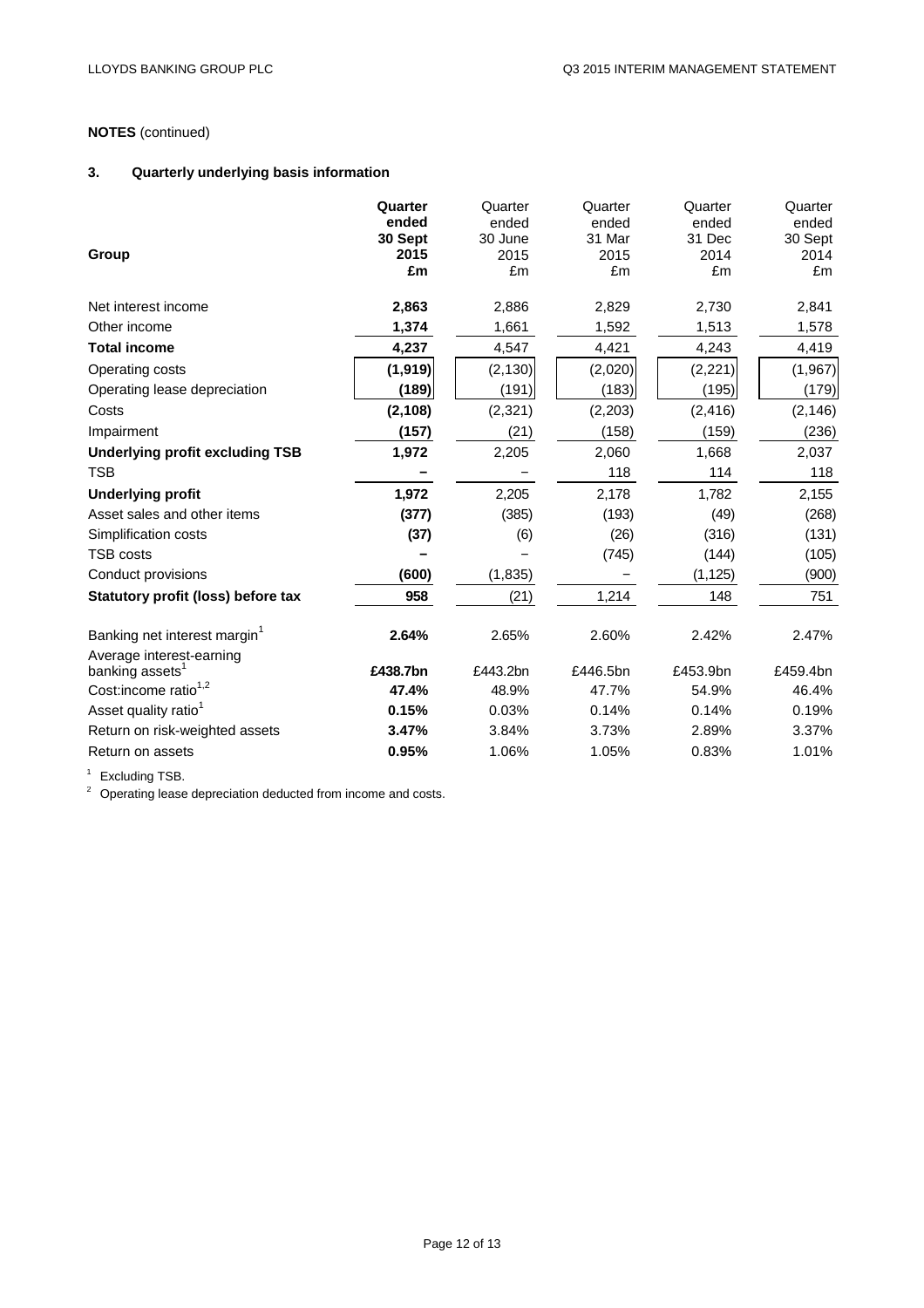# **NOTES** (continued)

# **3. Quarterly underlying basis information**

| Group                                                   | Quarter<br>ended<br>30 Sept<br>2015<br>£m | Quarter<br>ended<br>30 June<br>2015<br>£m | Quarter<br>ended<br>31 Mar<br>2015<br>£m | Quarter<br>ended<br>31 Dec<br>2014<br>£m | Quarter<br>ended<br>30 Sept<br>2014<br>£m |
|---------------------------------------------------------|-------------------------------------------|-------------------------------------------|------------------------------------------|------------------------------------------|-------------------------------------------|
| Net interest income                                     | 2,863                                     | 2,886                                     | 2,829                                    | 2,730                                    | 2,841                                     |
| Other income                                            | 1,374                                     | 1,661                                     | 1,592                                    | 1,513                                    | 1,578                                     |
| <b>Total income</b>                                     | 4,237                                     | 4,547                                     | 4,421                                    | 4,243                                    | 4,419                                     |
| Operating costs                                         | (1, 919)                                  | (2, 130)                                  | (2,020)                                  | (2, 221)                                 | (1,967)                                   |
| Operating lease depreciation                            | (189)                                     | (191)                                     | (183)                                    | (195)                                    | (179)                                     |
| Costs                                                   | (2, 108)                                  | (2,321)                                   | (2,203)                                  | (2, 416)                                 | (2, 146)                                  |
| Impairment                                              | (157)                                     | (21)                                      | (158)                                    | (159)                                    | (236)                                     |
| <b>Underlying profit excluding TSB</b>                  | 1,972                                     | 2,205                                     | 2,060                                    | 1,668                                    | 2,037                                     |
| <b>TSB</b>                                              |                                           |                                           | 118                                      | 114                                      | 118                                       |
| <b>Underlying profit</b>                                | 1,972                                     | 2,205                                     | 2,178                                    | 1,782                                    | 2,155                                     |
| Asset sales and other items                             | (377)                                     | (385)                                     | (193)                                    | (49)                                     | (268)                                     |
| Simplification costs                                    | (37)                                      | (6)                                       | (26)                                     | (316)                                    | (131)                                     |
| TSB costs                                               |                                           |                                           | (745)                                    | (144)                                    | (105)                                     |
| Conduct provisions                                      | (600)                                     | (1,835)                                   |                                          | (1, 125)                                 | (900)                                     |
| Statutory profit (loss) before tax                      | 958                                       | (21)                                      | 1,214                                    | 148                                      | 751                                       |
| Banking net interest margin <sup>1</sup>                | 2.64%                                     | 2.65%                                     | 2.60%                                    | 2.42%                                    | 2.47%                                     |
| Average interest-earning<br>banking assets <sup>1</sup> | £438.7bn                                  | £443.2bn                                  | £446.5bn                                 | £453.9bn                                 | £459.4bn                                  |
| Cost:income ratio <sup>1,2</sup>                        | 47.4%                                     | 48.9%                                     | 47.7%                                    | 54.9%                                    | 46.4%                                     |
| Asset quality ratio <sup>1</sup>                        | 0.15%                                     | 0.03%                                     | 0.14%                                    | 0.14%                                    | 0.19%                                     |
| Return on risk-weighted assets                          | 3.47%                                     | 3.84%                                     | 3.73%                                    | 2.89%                                    | 3.37%                                     |
| Return on assets                                        | 0.95%                                     | 1.06%                                     | 1.05%                                    | 0.83%                                    | 1.01%                                     |
|                                                         |                                           |                                           |                                          |                                          |                                           |

<sup>1</sup> Excluding TSB.<br><sup>2</sup> Operating lease depreciation deducted from income and costs.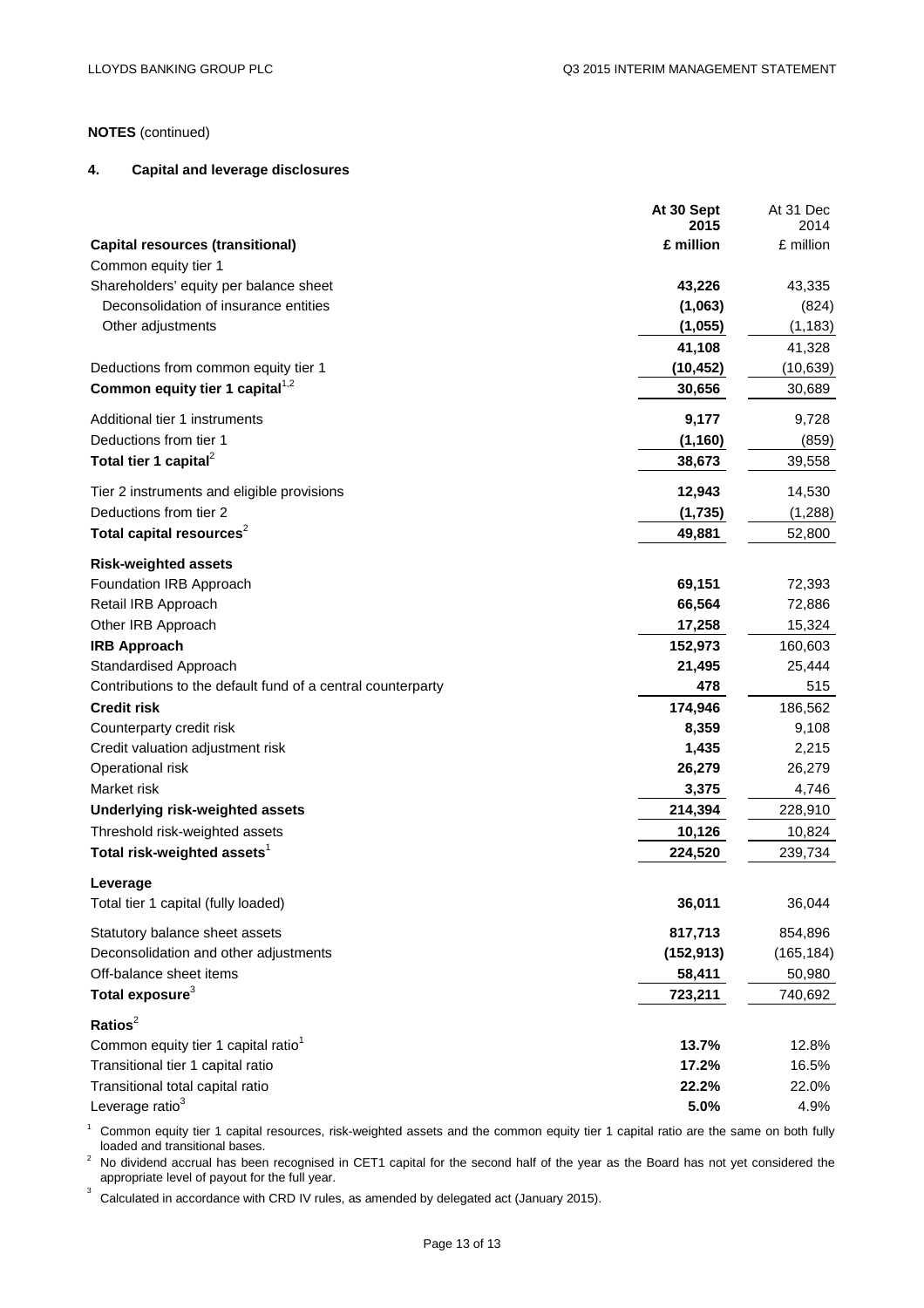# **NOTES** (continued)

#### **4. Capital and leverage disclosures**

|                                                                         | At 30 Sept<br>2015 | At 31 Dec         |
|-------------------------------------------------------------------------|--------------------|-------------------|
| <b>Capital resources (transitional)</b>                                 | £ million          | 2014<br>£ million |
| Common equity tier 1                                                    |                    |                   |
| Shareholders' equity per balance sheet                                  | 43,226             | 43,335            |
| Deconsolidation of insurance entities                                   | (1,063)            | (824)             |
| Other adjustments                                                       | (1,055)            | (1, 183)          |
|                                                                         | 41,108             | 41,328            |
| Deductions from common equity tier 1                                    | (10, 452)          | (10, 639)         |
| Common equity tier 1 capital <sup>1,2</sup>                             | 30,656             | 30,689            |
| Additional tier 1 instruments                                           | 9,177              | 9,728             |
| Deductions from tier 1                                                  | (1, 160)           | (859)             |
| Total tier 1 capital <sup>2</sup>                                       | 38,673             | 39,558            |
| Tier 2 instruments and eligible provisions                              | 12,943             | 14,530            |
| Deductions from tier 2                                                  | (1,735)            | (1,288)           |
| Total capital resources <sup>2</sup>                                    | 49,881             | 52,800            |
| <b>Risk-weighted assets</b>                                             |                    |                   |
| Foundation IRB Approach                                                 | 69,151             | 72,393            |
| Retail IRB Approach                                                     | 66,564             | 72,886            |
| Other IRB Approach                                                      | 17,258             | 15,324            |
| <b>IRB Approach</b>                                                     | 152,973            | 160,603           |
| Standardised Approach                                                   | 21,495             | 25,444            |
| Contributions to the default fund of a central counterparty             | 478                | 515               |
| <b>Credit risk</b>                                                      | 174,946            | 186,562           |
| Counterparty credit risk                                                | 8,359              | 9,108             |
| Credit valuation adjustment risk                                        | 1,435              | 2,215             |
| Operational risk                                                        | 26,279             | 26,279            |
| Market risk                                                             | 3,375              | 4,746             |
| Underlying risk-weighted assets                                         | 214,394            | 228,910           |
| Threshold risk-weighted assets                                          | 10,126             | 10,824            |
| Total risk-weighted assets <sup>1</sup>                                 | 224,520            | 239,734           |
| Leverage<br>Total tier 1 capital (fully loaded)                         | 36,011             | 36,044            |
|                                                                         | 817,713            | 854,896           |
| Statutory balance sheet assets<br>Deconsolidation and other adjustments | (152, 913)         | (165, 184)        |
| Off-balance sheet items                                                 | 58,411             | 50,980            |
| Total exposure <sup>3</sup>                                             | 723,211            | 740,692           |
|                                                                         |                    |                   |
| Ratios $2$                                                              |                    |                   |
| Common equity tier 1 capital ratio <sup>1</sup>                         | 13.7%              | 12.8%             |
| Transitional tier 1 capital ratio                                       | 17.2%              | 16.5%             |
| Transitional total capital ratio                                        | 22.2%              | 22.0%             |
| Leverage ratio <sup>3</sup>                                             | 5.0%               | 4.9%              |

<sup>1</sup> Common equity tier 1 capital resources, risk-weighted assets and the common equity tier 1 capital ratio are the same on both fully loaded and transitional bases.

 $2$  No dividend accrual has been recognised in CET1 capital for the second half of the year as the Board has not yet considered the appropriate level of payout for the full year.

Calculated in accordance with CRD IV rules, as amended by delegated act (January 2015).